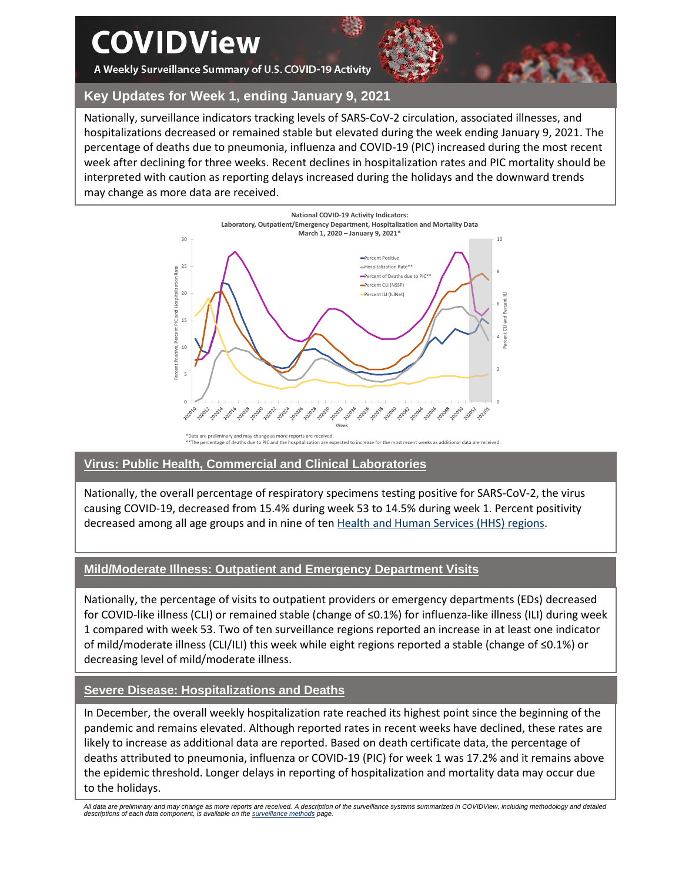# **COVIDView**

A Weekly Surveillance Summary of U.S. COVID-19 Activity



# **Key Updates for Week 1, ending January 9, 2021**

Nationally, surveillance indicators tracking levels of SARS-CoV-2 circulation, associated illnesses, and hospitalizations decreased or remained stable but elevated during the week ending January 9, 2021. The percentage of deaths due to pneumonia, influenza and COVID-19 (PIC) increased during the most recent week after declining for three weeks. Recent declines in hospitalization rates and PIC mortality should be interpreted with caution as reporting delays increased during the holidays and the downward trends may change as more data are received.



# **Virus: Public Health, Commercial and Clinical Laboratories**

Nationally, the overall percentage of respiratory specimens testing positive for SARS-CoV-2, the virus causing COVID-19, decreased from 15.4% during week 53 to 14.5% during week 1. Percent positivity decreased among all age groups and in nine of ten [Health and Human Services \(HHS\)](https://www.hhs.gov/about/agencies/iea/regional-offices/index.html) regions.

# **Mild/Moderate Illness: Outpatient and Emergency Department Visits**

Nationally, the percentage of visits to outpatient providers or emergency departments (EDs) decreased for COVID-like illness (CLI) or remained stable (change of ≤0.1%) for influenza-like illness (ILI) during week 1 compared with week 53. Two of ten surveillance regions reported an increase in at least one indicator of mild/moderate illness (CLI/ILI) this week while eight regions reported a stable (change of ≤0.1%) or decreasing level of mild/moderate illness.

# **Severe Disease: Hospitalizations and Deaths**

In December, the overall weekly hospitalization rate reached its highest point since the beginning of the pandemic and remains elevated. Although reported rates in recent weeks have declined, these rates are likely to increase as additional data are reported. Based on death certificate data, the percentage of deaths attributed to pneumonia, influenza or COVID-19 (PIC) for week 1 was 17.2% and it remains above the epidemic threshold. Longer delays in reporting of hospitalization and mortality data may occur due to the holidays.

All data are preliminary and may change as more reports are received. A description of the surveillance systems summarized in COVIDView, including methodology and detailed *descriptions of each data component, is available on th[e surveillance methods](https://www.cdc.gov/coronavirus/2019-ncov/covid-data/covidview/purpose-methods.html) page.*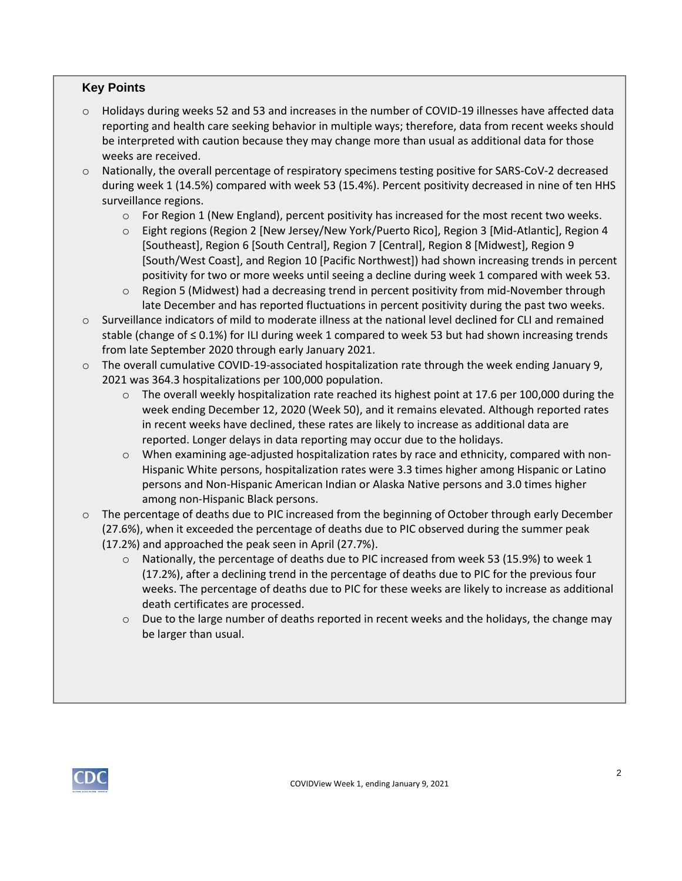## **Key Points**

- $\circ$  Holidays during weeks 52 and 53 and increases in the number of COVID-19 illnesses have affected data reporting and health care seeking behavior in multiple ways; therefore, data from recent weeks should be interpreted with caution because they may change more than usual as additional data for those weeks are received.
- o Nationally, the overall percentage of respiratory specimens testing positive for SARS-CoV-2 decreased during week 1 (14.5%) compared with week 53 (15.4%). Percent positivity decreased in nine of ten HHS surveillance regions.
	- $\circ$  For Region 1 (New England), percent positivity has increased for the most recent two weeks.
	- o Eight regions (Region 2 [New Jersey/New York/Puerto Rico], Region 3 [Mid-Atlantic], Region 4 [Southeast], Region 6 [South Central], Region 7 [Central], Region 8 [Midwest], Region 9 [South/West Coast], and Region 10 [Pacific Northwest]) had shown increasing trends in percent positivity for two or more weeks until seeing a decline during week 1 compared with week 53.
	- $\circ$  Region 5 (Midwest) had a decreasing trend in percent positivity from mid-November through late December and has reported fluctuations in percent positivity during the past two weeks.
- o Surveillance indicators of mild to moderate illness at the national level declined for CLI and remained stable (change of  $\leq$  0.1%) for ILI during week 1 compared to week 53 but had shown increasing trends from late September 2020 through early January 2021.
- $\circ$  The overall cumulative COVID-19-associated hospitalization rate through the week ending January 9, 2021 was 364.3 hospitalizations per 100,000 population.
	- $\circ$  The overall weekly hospitalization rate reached its highest point at 17.6 per 100,000 during the week ending December 12, 2020 (Week 50), and it remains elevated. Although reported rates in recent weeks have declined, these rates are likely to increase as additional data are reported. Longer delays in data reporting may occur due to the holidays.
	- $\circ$  When examining age-adjusted hospitalization rates by race and ethnicity, compared with non-Hispanic White persons, hospitalization rates were 3.3 times higher among Hispanic or Latino persons and Non-Hispanic American Indian or Alaska Native persons and 3.0 times higher among non-Hispanic Black persons.
- o The percentage of deaths due to PIC increased from the beginning of October through early December (27.6%), when it exceeded the percentage of deaths due to PIC observed during the summer peak
	- (17.2%) and approached the peak seen in April (27.7%).
		- $\circ$  Nationally, the percentage of deaths due to PIC increased from week 53 (15.9%) to week 1 (17.2%), after a declining trend in the percentage of deaths due to PIC for the previous four weeks. The percentage of deaths due to PIC for these weeks are likely to increase as additional death certificates are processed.
		- $\circ$  Due to the large number of deaths reported in recent weeks and the holidays, the change may be larger than usual.

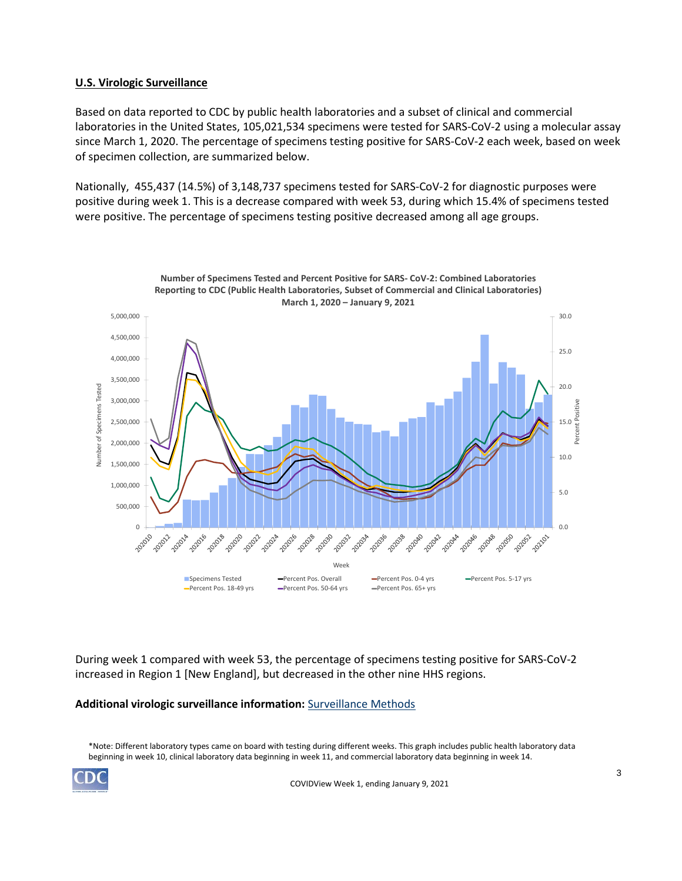#### **U.S. Virologic Surveillance**

Based on data reported to CDC by public health laboratories and a subset of clinical and commercial laboratories in the United States, 105,021,534 specimens were tested for SARS-CoV-2 using a molecular assay since March 1, 2020. The percentage of specimens testing positive for SARS-CoV-2 each week, based on week of specimen collection, are summarized below.

Nationally, 455,437 (14.5%) of 3,148,737 specimens tested for SARS-CoV-2 for diagnostic purposes were positive during week 1. This is a decrease compared with week 53, during which 15.4% of specimens tested were positive. The percentage of specimens testing positive decreased among all age groups.



During week 1 compared with week 53, the percentage of specimens testing positive for SARS-CoV-2 increased in Region 1 [New England], but decreased in the other nine HHS regions.

#### **Additional virologic surveillance information:** [Surveillance Methods](https://www.cdc.gov/coronavirus/2019-ncov/covid-data/covidview/purpose-methods.html#virologic)

\*Note: Different laboratory types came on board with testing during different weeks. This graph includes public health laboratory data beginning in week 10, clinical laboratory data beginning in week 11, and commercial laboratory data beginning in week 14.

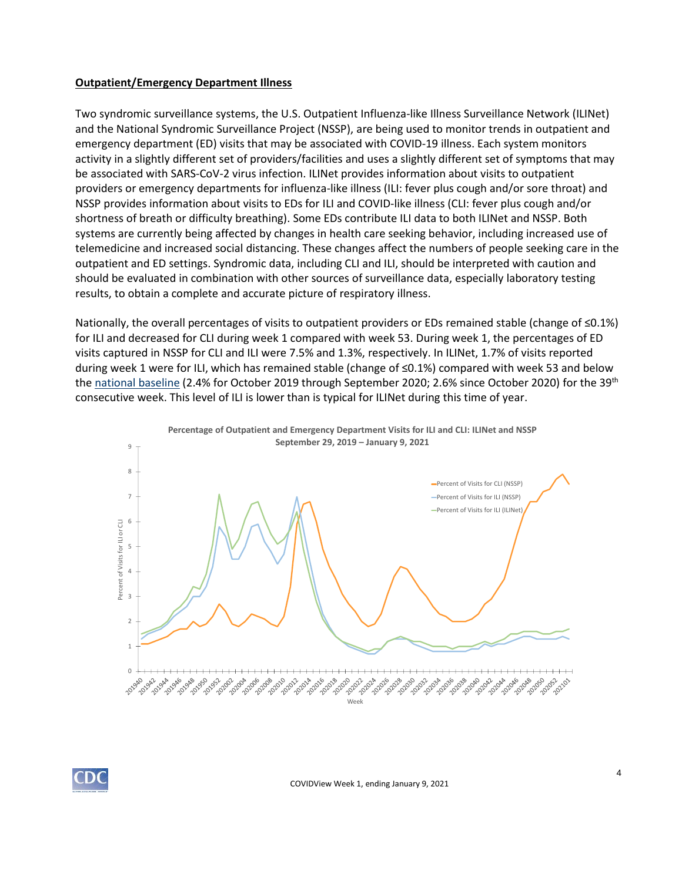#### **Outpatient/Emergency Department Illness**

Two syndromic surveillance systems, the U.S. Outpatient Influenza-like Illness Surveillance Network (ILINet) and the National Syndromic Surveillance Project (NSSP), are being used to monitor trends in outpatient and emergency department (ED) visits that may be associated with COVID-19 illness. Each system monitors activity in a slightly different set of providers/facilities and uses a slightly different set of symptoms that may be associated with SARS-CoV-2 virus infection. ILINet provides information about visits to outpatient providers or emergency departments for influenza-like illness (ILI: fever plus cough and/or sore throat) and NSSP provides information about visits to EDs for ILI and COVID-like illness (CLI: fever plus cough and/or shortness of breath or difficulty breathing). Some EDs contribute ILI data to both ILINet and NSSP. Both systems are currently being affected by changes in health care seeking behavior, including increased use of telemedicine and increased social distancing. These changes affect the numbers of people seeking care in the outpatient and ED settings. Syndromic data, including CLI and ILI, should be interpreted with caution and should be evaluated in combination with other sources of surveillance data, especially laboratory testing results, to obtain a complete and accurate picture of respiratory illness.

Nationally, the overall percentages of visits to outpatient providers or EDs remained stable (change of ≤0.1%) for ILI and decreased for CLI during week 1 compared with week 53. During week 1, the percentages of ED visits captured in NSSP for CLI and ILI were 7.5% and 1.3%, respectively. In ILINet, 1.7% of visits reported during week 1 were for ILI, which has remained stable (change of ≤0.1%) compared with week 53 and below the [national baseline](https://www.cdc.gov/coronavirus/2019-ncov/covid-data/covidview/purpose-methods.html#outpatient) (2.4% for October 2019 through September 2020; 2.6% since October 2020) for the 39<sup>th</sup> consecutive week. This level of ILI is lower than is typical for ILINet during this time of year.



**Percentage of Outpatient and Emergency Department Visits for ILI and CLI: ILINet and NSSP** 

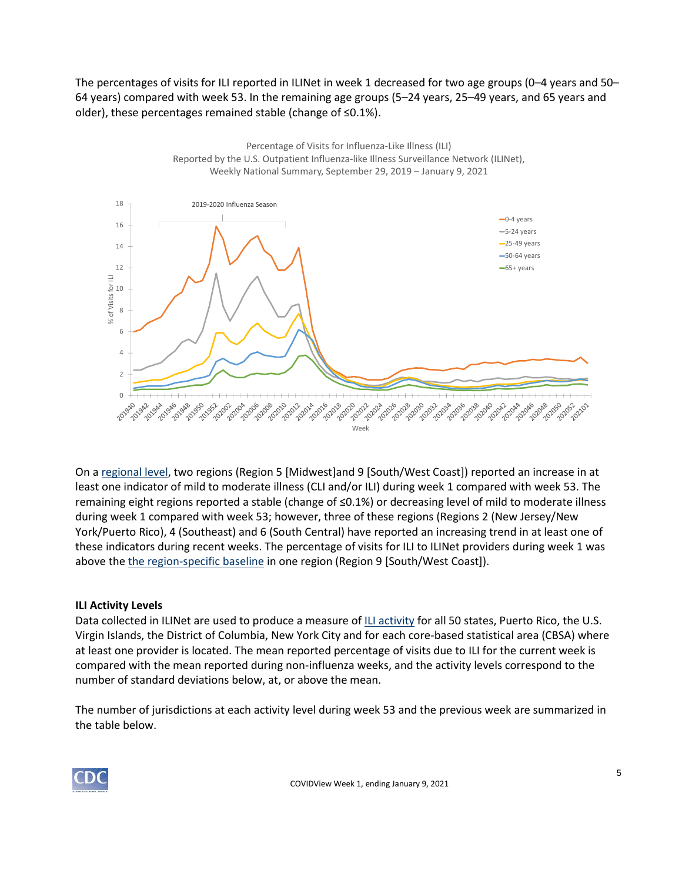The percentages of visits for ILI reported in ILINet in week 1 decreased for two age groups (0–4 years and 50– 64 years) compared with week 53. In the remaining age groups (5–24 years, 25–49 years, and 65 years and older), these percentages remained stable (change of ≤0.1%).



On a [regional level,](https://www.hhs.gov/about/agencies/iea/regional-offices/index.html) two regions (Region 5 [Midwest]and 9 [South/West Coast]) reported an increase in at least one indicator of mild to moderate illness (CLI and/or ILI) during week 1 compared with week 53. The remaining eight regions reported a stable (change of ≤0.1%) or decreasing level of mild to moderate illness during week 1 compared with week 53; however, three of these regions (Regions 2 (New Jersey/New York/Puerto Rico), 4 (Southeast) and 6 (South Central) have reported an increasing trend in at least one of these indicators during recent weeks. The percentage of visits for ILI to ILINet providers during week 1 was above the [the region-specific baseline](https://www.cdc.gov/coronavirus/2019-ncov/covid-data/covidview/purpose-methods.html#outpatient) in one region (Region 9 [South/West Coast]).

## **ILI Activity Levels**

Data collected in ILINet are used to produce a measure of [ILI activity](https://www.cdc.gov/coronavirus/2019-ncov/covid-data/covidview/purpose-methods.html#outpatient) for all 50 states, Puerto Rico, the U.S. Virgin Islands, the District of Columbia, New York City and for each core-based statistical area (CBSA) where at least one provider is located. The mean reported percentage of visits due to ILI for the current week is compared with the mean reported during non-influenza weeks, and the activity levels correspond to the number of standard deviations below, at, or above the mean.

The number of jurisdictions at each activity level during week 53 and the previous week are summarized in the table below.

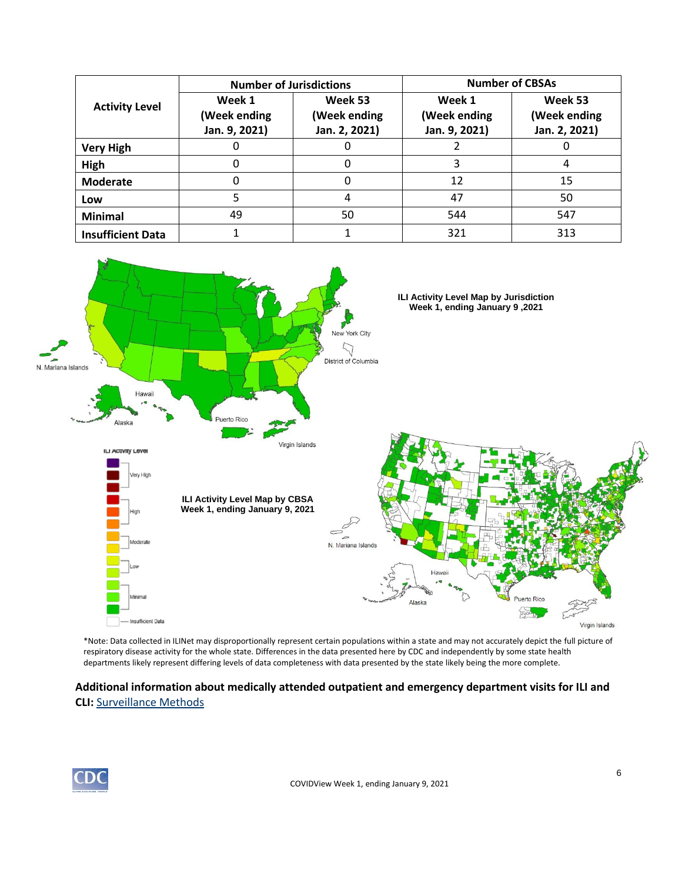|                          | <b>Number of Jurisdictions</b>          |                                          | <b>Number of CBSAs</b>                  |                                          |  |
|--------------------------|-----------------------------------------|------------------------------------------|-----------------------------------------|------------------------------------------|--|
| <b>Activity Level</b>    | Week 1<br>(Week ending<br>Jan. 9, 2021) | Week 53<br>(Week ending<br>Jan. 2, 2021) | Week 1<br>(Week ending<br>Jan. 9, 2021) | Week 53<br>(Week ending<br>Jan. 2, 2021) |  |
| <b>Very High</b>         |                                         |                                          |                                         |                                          |  |
| High                     | 0                                       |                                          | 3                                       |                                          |  |
| <b>Moderate</b>          | 0                                       |                                          | 12                                      | 15                                       |  |
| Low                      |                                         |                                          | 47                                      | 50                                       |  |
| <b>Minimal</b>           | 49                                      | 50                                       | 544                                     | 547                                      |  |
| <b>Insufficient Data</b> |                                         |                                          | 321                                     | 313                                      |  |



\*Note: Data collected in ILINet may disproportionally represent certain populations within a state and may not accurately depict the full picture of respiratory disease activity for the whole state. Differences in the data presented here by CDC and independently by some state health departments likely represent differing levels of data completeness with data presented by the state likely being the more complete.

## **Additional information about medically attended outpatient and emergency department visits for ILI and CLI:** [Surveillance Methods](https://www.cdc.gov/coronavirus/2019-ncov/covid-data/covidview/purpose-methods.html#outpatient)

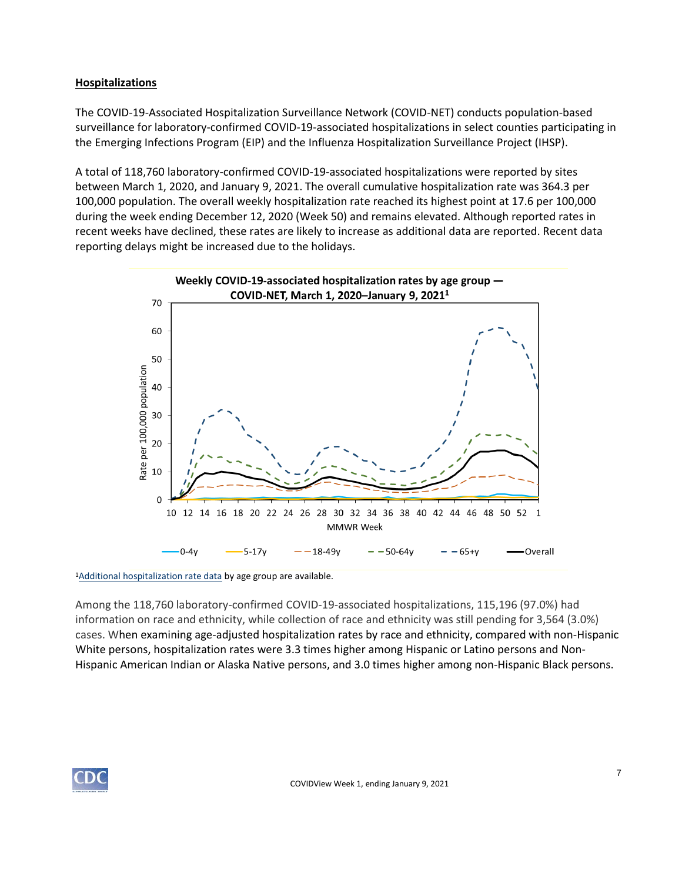## **Hospitalizations**

The COVID-19-Associated Hospitalization Surveillance Network (COVID-NET) conducts population-based surveillance for laboratory-confirmed COVID-19-associated hospitalizations in select counties participating in the Emerging Infections Program (EIP) and the Influenza Hospitalization Surveillance Project (IHSP).

A total of 118,760 laboratory-confirmed COVID-19-associated hospitalizations were reported by sites between March 1, 2020, and January 9, 2021. The overall cumulative hospitalization rate was 364.3 per 100,000 population. The overall weekly hospitalization rate reached its highest point at 17.6 per 100,000 during the week ending December 12, 2020 (Week 50) and remains elevated. Although reported rates in recent weeks have declined, these rates are likely to increase as additional data are reported. Recent data reporting delays might be increased due to the holidays.



<sup>1</sup>[Additional hospitalization rate data](https://gis.cdc.gov/grasp/COVIDNet/COVID19_3.html) by age group are available.

Among the 118,760 laboratory-confirmed COVID-19-associated hospitalizations, 115,196 (97.0%) had information on race and ethnicity, while collection of race and ethnicity was still pending for 3,564 (3.0%) cases. When examining age-adjusted hospitalization rates by race and ethnicity, compared with non-Hispanic White persons, hospitalization rates were 3.3 times higher among Hispanic or Latino persons and Non-Hispanic American Indian or Alaska Native persons, and 3.0 times higher among non-Hispanic Black persons.

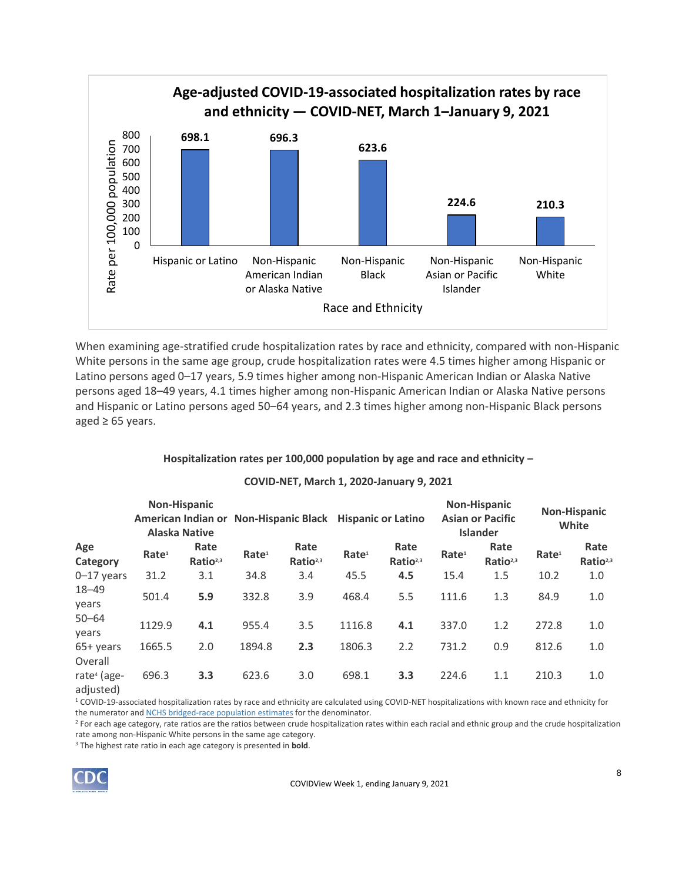

When examining age-stratified crude hospitalization rates by race and ethnicity, compared with non-Hispanic White persons in the same age group, crude hospitalization rates were 4.5 times higher among Hispanic or Latino persons aged 0–17 years, 5.9 times higher among non-Hispanic American Indian or Alaska Native persons aged 18–49 years, 4.1 times higher among non-Hispanic American Indian or Alaska Native persons and Hispanic or Latino persons aged 50–64 years, and 2.3 times higher among non-Hispanic Black persons aged  $\geq 65$  years.

## **Hospitalization rates per 100,000 population by age and race and ethnicity –**

#### **COVID-NET, March 1, 2020-January 9, 2021**

|                                             | <b>Non-Hispanic</b><br><b>Alaska Native</b> |                              | American Indian or Non-Hispanic Black Hispanic or Latino |                              |                   |                              | <b>Non-Hispanic</b><br><b>Asian or Pacific</b><br><b>Islander</b> |                              | <b>Non-Hispanic</b><br>White |                              |
|---------------------------------------------|---------------------------------------------|------------------------------|----------------------------------------------------------|------------------------------|-------------------|------------------------------|-------------------------------------------------------------------|------------------------------|------------------------------|------------------------------|
| Age<br>Category                             | Rate <sup>1</sup>                           | Rate<br>Ratio <sup>2,3</sup> | Rate <sup>1</sup>                                        | Rate<br>Ratio <sup>2,3</sup> | Rate <sup>1</sup> | Rate<br>Ratio <sup>2,3</sup> | Rate <sup>1</sup>                                                 | Rate<br>Ratio <sup>2,3</sup> | Rate <sup>1</sup>            | Rate<br>Ratio <sup>2,3</sup> |
| $0 - 17$ years                              | 31.2                                        | 3.1                          | 34.8                                                     | 3.4                          | 45.5              | 4.5                          | 15.4                                                              | 1.5                          | 10.2                         | 1.0                          |
| $18 - 49$<br>years                          | 501.4                                       | 5.9                          | 332.8                                                    | 3.9                          | 468.4             | 5.5                          | 111.6                                                             | 1.3                          | 84.9                         | 1.0                          |
| $50 - 64$<br>years                          | 1129.9                                      | 4.1                          | 955.4                                                    | 3.5                          | 1116.8            | 4.1                          | 337.0                                                             | 1.2                          | 272.8                        | 1.0                          |
| $65+$ years<br>Overall                      | 1665.5                                      | 2.0                          | 1894.8                                                   | 2.3                          | 1806.3            | 2.2                          | 731.2                                                             | 0.9                          | 812.6                        | 1.0                          |
| rate <sup>4</sup> (age-<br>$-111 - 11 - 11$ | 696.3                                       | 3.3                          | 623.6                                                    | 3.0                          | 698.1             | 3.3                          | 224.6                                                             | 1.1                          | 210.3                        | 1.0                          |

adiusted)

 $1$  COVID-19-associated hospitalization rates by race and ethnicity are calculated using COVID-NET hospitalizations with known race and ethnicity for the numerator an[d NCHS bridged-race population](https://www.cdc.gov/nchs/nvss/bridged_race.htm) estimates for the denominator.

<sup>2</sup> For each age category, rate ratios are the ratios between crude hospitalization rates within each racial and ethnic group and the crude hospitalization rate among non-Hispanic White persons in the same age category.

<sup>3</sup> The highest rate ratio in each age category is presented in **bold**.

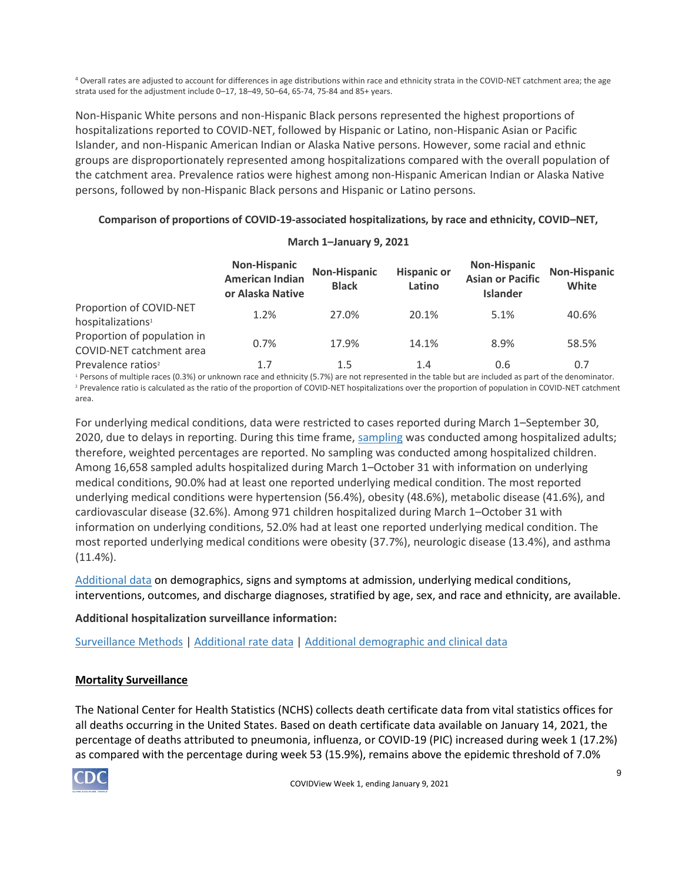<sup>4</sup> Overall rates are adjusted to account for differences in age distributions within race and ethnicity strata in the COVID-NET catchment area; the age strata used for the adjustment include 0–17, 18–49, 50–64, 65-74, 75-84 and 85+ years.

Non-Hispanic White persons and non-Hispanic Black persons represented the highest proportions of hospitalizations reported to COVID-NET, followed by Hispanic or Latino, non-Hispanic Asian or Pacific Islander, and non-Hispanic American Indian or Alaska Native persons. However, some racial and ethnic groups are disproportionately represented among hospitalizations compared with the overall population of the catchment area. Prevalence ratios were highest among non-Hispanic American Indian or Alaska Native persons, followed by non-Hispanic Black persons and Hispanic or Latino persons.

## **Comparison of proportions of COVID-19-associated hospitalizations, by race and ethnicity, COVID–NET,**

**March 1–January 9, 2021**

|                                                          | <b>Non-Hispanic</b><br><b>American Indian</b><br>or Alaska Native | <b>Non-Hispanic</b><br><b>Black</b> | <b>Hispanic or</b><br>Latino | <b>Non-Hispanic</b><br><b>Asian or Pacific</b><br><b>Islander</b> | <b>Non-Hispanic</b><br>White |
|----------------------------------------------------------|-------------------------------------------------------------------|-------------------------------------|------------------------------|-------------------------------------------------------------------|------------------------------|
| Proportion of COVID-NET<br>hospitalizations <sup>1</sup> | 1.2%                                                              | 27.0%                               | 20.1%                        | 5.1%                                                              | 40.6%                        |
| Proportion of population in<br>COVID-NET catchment area  | 0.7%                                                              | 17.9%                               | 14.1%                        | 8.9%                                                              | 58.5%                        |
| Prevalence ratios <sup>2</sup>                           | 1.7                                                               | 1.5                                 | 1.4                          | 0.6                                                               | 0.7                          |

<sup>1</sup> Persons of multiple races (0.3%) or unknown race and ethnicity (5.7%) are not represented in the table but are included as part of the denominator. <sup>2</sup> Prevalence ratio is calculated as the ratio of the proportion of COVID-NET hospitalizations over the proportion of population in COVID-NET catchment area.

For underlying medical conditions, data were restricted to cases reported during March 1–September 30, 2020, due to delays in reporting. During this time frame, [sampling](https://www.cdc.gov/coronavirus/2019-ncov/covid-data/covidview/purpose-methods.html#hospitalization) was conducted among hospitalized adults; therefore, weighted percentages are reported. No sampling was conducted among hospitalized children. Among 16,658 sampled adults hospitalized during March 1–October 31 with information on underlying medical conditions, 90.0% had at least one reported underlying medical condition. The most reported underlying medical conditions were hypertension (56.4%), obesity (48.6%), metabolic disease (41.6%), and cardiovascular disease (32.6%). Among 971 children hospitalized during March 1–October 31 with information on underlying conditions, 52.0% had at least one reported underlying medical condition. The most reported underlying medical conditions were obesity (37.7%), neurologic disease (13.4%), and asthma (11.4%).

[Additional data](https://gis.cdc.gov/grasp/COVIDNet/COVID19_5.html) on demographics, signs and symptoms at admission, underlying medical conditions, interventions, outcomes, and discharge diagnoses, stratified by age, sex, and race and ethnicity, are available.

## **Additional hospitalization surveillance information:**

[Surveillance Methods](https://www.cdc.gov/coronavirus/2019-ncov/covid-data/covidview/purpose-methods.html#hospitalization) | [Additional rate data](https://gis.cdc.gov/grasp/COVIDNet/COVID19_3.html) | [Additional demographic and clinical data](https://gis.cdc.gov/grasp/COVIDNet/COVID19_5.html)

## **Mortality Surveillance**

The National Center for Health Statistics (NCHS) collects death certificate data from vital statistics offices for all deaths occurring in the United States. Based on death certificate data available on January 14, 2021, the percentage of deaths attributed to pneumonia, influenza, or COVID-19 (PIC) increased during week 1 (17.2%) as compared with the percentage during week 53 (15.9%), remains above the epidemic threshold of 7.0%